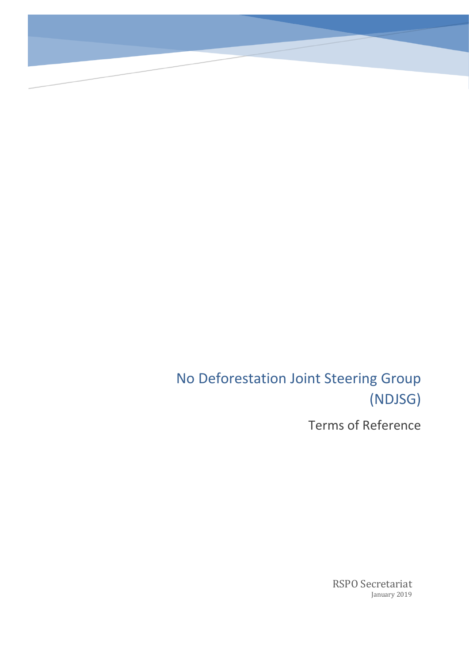# No Deforestation Joint Steering Group (NDJSG)

Terms of Reference

RSPO Secretariat January 2019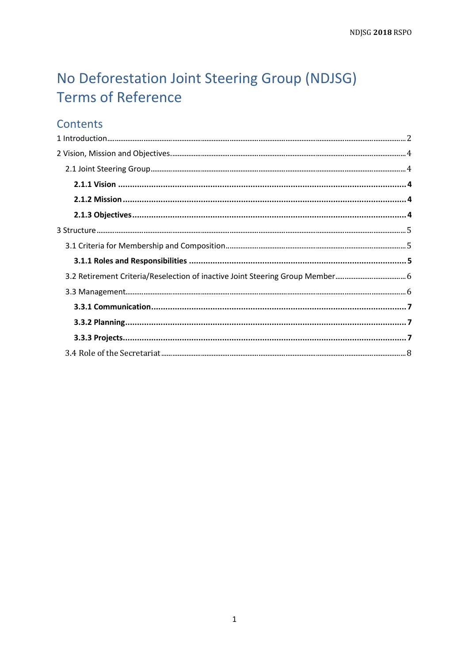# No Deforestation Joint Steering Group (NDJSG) **Terms of Reference**

## Contents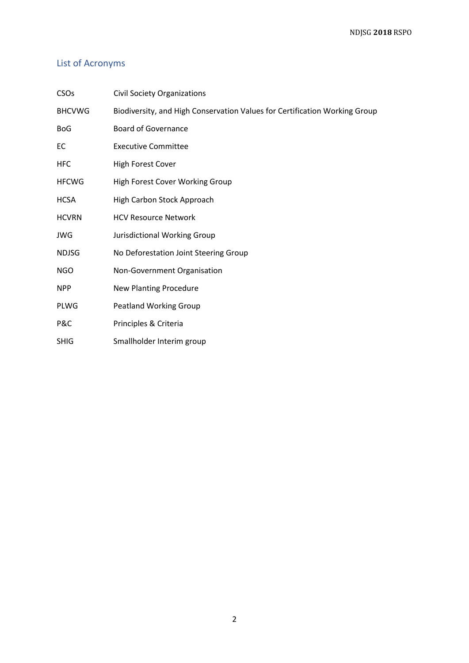## <span id="page-2-0"></span>List of Acronyms

| <b>CSOs</b>   | <b>Civil Society Organizations</b>                                         |
|---------------|----------------------------------------------------------------------------|
| <b>BHCVWG</b> | Biodiversity, and High Conservation Values for Certification Working Group |
| <b>BoG</b>    | <b>Board of Governance</b>                                                 |
| EC            | <b>Executive Committee</b>                                                 |
| <b>HFC</b>    | <b>High Forest Cover</b>                                                   |
| <b>HFCWG</b>  | High Forest Cover Working Group                                            |
| <b>HCSA</b>   | High Carbon Stock Approach                                                 |
| <b>HCVRN</b>  | <b>HCV Resource Network</b>                                                |
| <b>JWG</b>    | Jurisdictional Working Group                                               |
| <b>NDJSG</b>  | No Deforestation Joint Steering Group                                      |
| <b>NGO</b>    | Non-Government Organisation                                                |
| <b>NPP</b>    | <b>New Planting Procedure</b>                                              |
| <b>PLWG</b>   | <b>Peatland Working Group</b>                                              |
| P&C           | Principles & Criteria                                                      |
| <b>SHIG</b>   | Smallholder Interim group                                                  |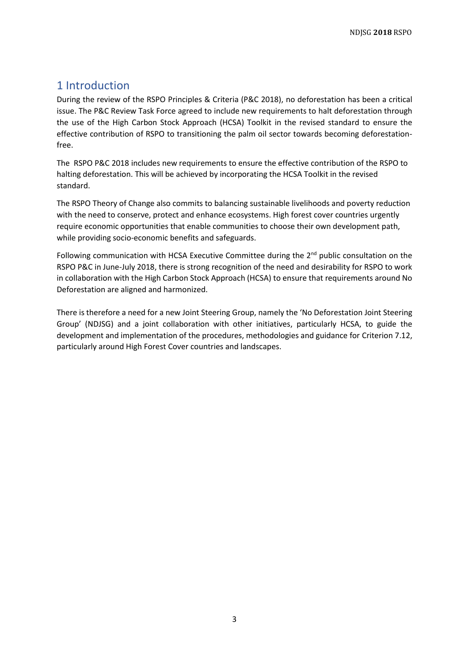## 1 Introduction

During the review of the RSPO Principles & Criteria (P&C 2018), no deforestation has been a critical issue. The P&C Review Task Force agreed to include new requirements to halt deforestation through the use of the High Carbon Stock Approach (HCSA) Toolkit in the revised standard to ensure the effective contribution of RSPO to transitioning the palm oil sector towards becoming deforestationfree.

The RSPO P&C 2018 includes new requirements to ensure the effective contribution of the RSPO to halting deforestation. This will be achieved by incorporating the HCSA Toolkit in the revised standard.

The RSPO Theory of Change also commits to balancing sustainable livelihoods and poverty reduction with the need to conserve, protect and enhance ecosystems. High forest cover countries urgently require economic opportunities that enable communities to choose their own development path, while providing socio-economic benefits and safeguards.

Following communication with HCSA Executive Committee during the  $2^{nd}$  public consultation on the RSPO P&C in June-July 2018, there is strong recognition of the need and desirability for RSPO to work in collaboration with the High Carbon Stock Approach (HCSA) to ensure that requirements around No Deforestation are aligned and harmonized.

There is therefore a need for a new Joint Steering Group, namely the 'No Deforestation Joint Steering Group' (NDJSG) and a joint collaboration with other initiatives, particularly HCSA, to guide the development and implementation of the procedures, methodologies and guidance for Criterion 7.12, particularly around High Forest Cover countries and landscapes.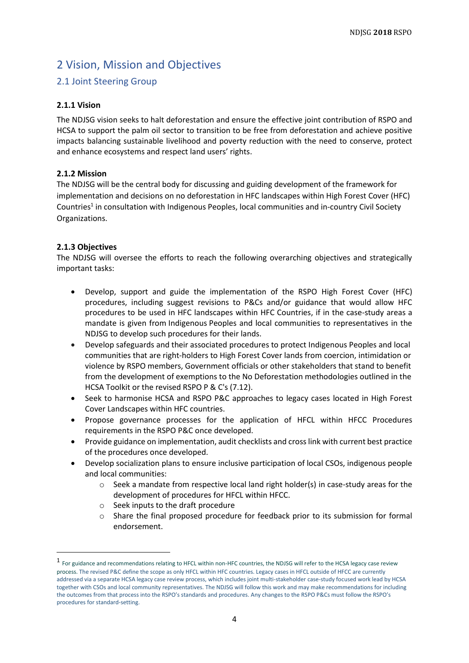## <span id="page-4-0"></span>2 Vision, Mission and Objectives

## <span id="page-4-2"></span><span id="page-4-1"></span>2.1 Joint Steering Group

## **2.1.1 Vision**

The NDJSG vision seeks to halt deforestation and ensure the effective joint contribution of RSPO and HCSA to support the palm oil sector to transition to be free from deforestation and achieve positive impacts balancing sustainable livelihood and poverty reduction with the need to conserve, protect and enhance ecosystems and respect land users' rights.

## <span id="page-4-3"></span>**2.1.2 Mission**

The NDJSG will be the central body for discussing and guiding development of the framework for implementation and decisions on no deforestation in HFC landscapes within High Forest Cover (HFC) Countries<sup>1</sup> in consultation with Indigenous Peoples, local communities and in-country Civil Society Organizations.

## <span id="page-4-4"></span>**2.1.3 Objectives**

1

The NDJSG will oversee the efforts to reach the following overarching objectives and strategically important tasks:

- Develop, support and guide the implementation of the RSPO High Forest Cover (HFC) procedures, including suggest revisions to P&Cs and/or guidance that would allow HFC procedures to be used in HFC landscapes within HFC Countries, if in the case-study areas a mandate is given from Indigenous Peoples and local communities to representatives in the NDJSG to develop such procedures for their lands.
- Develop safeguards and their associated procedures to protect Indigenous Peoples and local communities that are right-holders to High Forest Cover lands from coercion, intimidation or violence by RSPO members, Government officials or other stakeholders that stand to benefit from the development of exemptions to the No Deforestation methodologies outlined in the HCSA Toolkit or the revised RSPO P & C's (7.12).
- Seek to harmonise HCSA and RSPO P&C approaches to legacy cases located in High Forest Cover Landscapes within HFC countries.
- Propose governance processes for the application of HFCL within HFCC Procedures requirements in the RSPO P&C once developed.
- Provide guidance on implementation, audit checklists and cross link with current best practice of the procedures once developed.
- Develop socialization plans to ensure inclusive participation of local CSOs, indigenous people and local communities:
	- $\circ$  Seek a mandate from respective local land right holder(s) in case-study areas for the development of procedures for HFCL within HFCC.
	- o Seek inputs to the draft procedure
	- o Share the final proposed procedure for feedback prior to its submission for formal endorsement.

<sup>1</sup> For guidance and recommendations relating to HFCL within non-HFC countries, the NDJSG will refer to the HCSA legacy case review process. The revised P&C define the scope as only HFCL within HFC countries. Legacy cases in HFCL outside of HFCC are currently addressed via a separate HCSA legacy case review process, which includes joint multi-stakeholder case-study focused work lead by HCSA together with CSOs and local community representatives. The NDJSG will follow this work and may make recommendations for including the outcomes from that process into the RSPO's standards and procedures. Any changes to the RSPO P&Cs must follow the RSPO's procedures for standard-setting.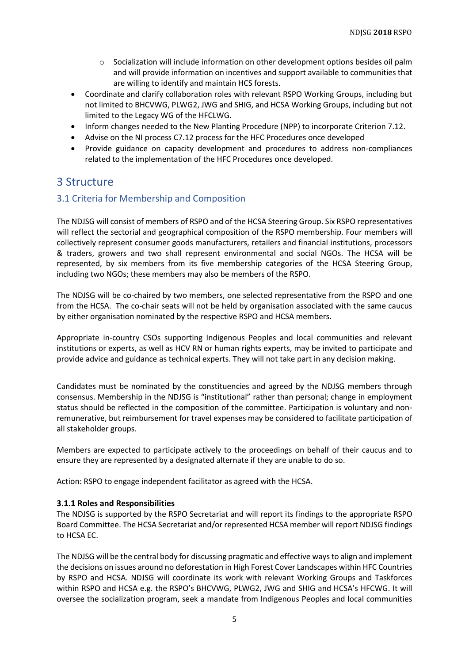- o Socialization will include information on other development options besides oil palm and will provide information on incentives and support available to communities that are willing to identify and maintain HCS forests.
- Coordinate and clarify collaboration roles with relevant RSPO Working Groups, including but not limited to BHCVWG, PLWG2, JWG and SHIG, and HCSA Working Groups, including but not limited to the Legacy WG of the HFCLWG.
- Inform changes needed to the New Planting Procedure (NPP) to incorporate Criterion 7.12.
- Advise on the NI process C7.12 process for the HFC Procedures once developed
- Provide guidance on capacity development and procedures to address non-compliances related to the implementation of the HFC Procedures once developed.

## <span id="page-5-0"></span>3 Structure

## <span id="page-5-1"></span>3.1 Criteria for Membership and Composition

The NDJSG will consist of members of RSPO and of the HCSA Steering Group. Six RSPO representatives will reflect the sectorial and geographical composition of the RSPO membership. Four members will collectively represent consumer goods manufacturers, retailers and financial institutions, processors & traders, growers and two shall represent environmental and social NGOs. The HCSA will be represented, by six members from its five membership categories of the HCSA Steering Group, including two NGOs; these members may also be members of the RSPO.

The NDJSG will be co-chaired by two members, one selected representative from the RSPO and one from the HCSA. The co-chair seats will not be held by organisation associated with the same caucus by either organisation nominated by the respective RSPO and HCSA members.

Appropriate in-country CSOs supporting Indigenous Peoples and local communities and relevant institutions or experts, as well as HCV RN or human rights experts, may be invited to participate and provide advice and guidance as technical experts. They will not take part in any decision making.

Candidates must be nominated by the constituencies and agreed by the NDJSG members through consensus. Membership in the NDJSG is "institutional" rather than personal; change in employment status should be reflected in the composition of the committee. Participation is voluntary and nonremunerative, but reimbursement for travel expenses may be considered to facilitate participation of all stakeholder groups.

Members are expected to participate actively to the proceedings on behalf of their caucus and to ensure they are represented by a designated alternate if they are unable to do so.

Action: RSPO to engage independent facilitator as agreed with the HCSA.

### <span id="page-5-2"></span>**3.1.1 Roles and Responsibilities**

The NDJSG is supported by the RSPO Secretariat and will report its findings to the appropriate RSPO Board Committee. The HCSA Secretariat and/or represented HCSA member will report NDJSG findings to HCSA EC.

The NDJSG will be the central body for discussing pragmatic and effective ways to align and implement the decisions on issues around no deforestation in High Forest Cover Landscapes within HFC Countries by RSPO and HCSA. NDJSG will coordinate its work with relevant Working Groups and Taskforces within RSPO and HCSA e.g. the RSPO's BHCVWG, PLWG2, JWG and SHIG and HCSA's HFCWG. It will oversee the socialization program, seek a mandate from Indigenous Peoples and local communities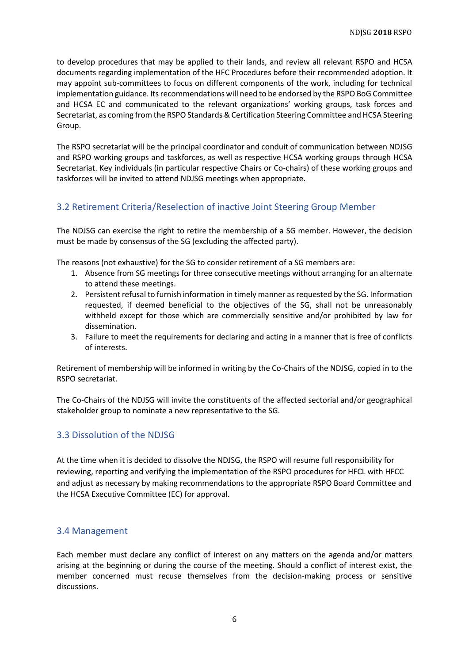to develop procedures that may be applied to their lands, and review all relevant RSPO and HCSA documents regarding implementation of the HFC Procedures before their recommended adoption. It may appoint sub-committees to focus on different components of the work, including for technical implementation guidance. Its recommendations will need to be endorsed by the RSPO BoG Committee and HCSA EC and communicated to the relevant organizations' working groups, task forces and Secretariat, as coming from the RSPO Standards & Certification Steering Committee and HCSA Steering Group.

The RSPO secretariat will be the principal coordinator and conduit of communication between NDJSG and RSPO working groups and taskforces, as well as respective HCSA working groups through HCSA Secretariat. Key individuals (in particular respective Chairs or Co-chairs) of these working groups and taskforces will be invited to attend NDJSG meetings when appropriate.

## <span id="page-6-0"></span>3.2 Retirement Criteria/Reselection of inactive Joint Steering Group Member

The NDJSG can exercise the right to retire the membership of a SG member. However, the decision must be made by consensus of the SG (excluding the affected party).

The reasons (not exhaustive) for the SG to consider retirement of a SG members are:

- 1. Absence from SG meetings for three consecutive meetings without arranging for an alternate to attend these meetings.
- 2. Persistent refusal to furnish information in timely manner as requested by the SG. Information requested, if deemed beneficial to the objectives of the SG, shall not be unreasonably withheld except for those which are commercially sensitive and/or prohibited by law for dissemination.
- 3. Failure to meet the requirements for declaring and acting in a manner that is free of conflicts of interests.

Retirement of membership will be informed in writing by the Co-Chairs of the NDJSG, copied in to the RSPO secretariat.

The Co-Chairs of the NDJSG will invite the constituents of the affected sectorial and/or geographical stakeholder group to nominate a new representative to the SG.

## 3.3 Dissolution of the NDJSG

At the time when it is decided to dissolve the NDJSG, the RSPO will resume full responsibility for reviewing, reporting and verifying the implementation of the RSPO procedures for HFCL with HFCC and adjust as necessary by making recommendations to the appropriate RSPO Board Committee and the HCSA Executive Committee (EC) for approval.

## <span id="page-6-1"></span>3.4 Management

Each member must declare any conflict of interest on any matters on the agenda and/or matters arising at the beginning or during the course of the meeting. Should a conflict of interest exist, the member concerned must recuse themselves from the decision-making process or sensitive discussions.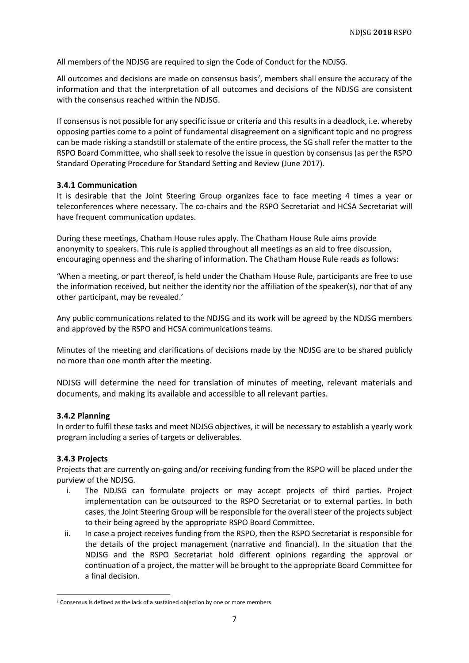All members of the NDJSG are required to sign the Code of Conduct for the NDJSG.

All outcomes and decisions are made on consensus basis<sup>2</sup>, members shall ensure the accuracy of the information and that the interpretation of all outcomes and decisions of the NDJSG are consistent with the consensus reached within the NDJSG.

If consensus is not possible for any specific issue or criteria and this results in a deadlock, i.e. whereby opposing parties come to a point of fundamental disagreement on a significant topic and no progress can be made risking a standstill or stalemate of the entire process, the SG shall refer the matter to the RSPO Board Committee, who shall seek to resolve the issue in question by consensus (as per the RSPO Standard Operating Procedure for Standard Setting and Review (June 2017).

### <span id="page-7-0"></span>**3.4.1 Communication**

It is desirable that the Joint Steering Group organizes face to face meeting 4 times a year or teleconferences where necessary. The co-chairs and the RSPO Secretariat and HCSA Secretariat will have frequent communication updates.

During these meetings, Chatham House rules apply. The Chatham House Rule aims provide anonymity to speakers. This rule is applied throughout all meetings as an aid to free discussion, encouraging openness and the sharing of information. The Chatham House Rule reads as follows:

'When a meeting, or part thereof, is held under the Chatham House Rule, participants are free to use the information received, but neither the identity nor the affiliation of the speaker(s), nor that of any other participant, may be revealed.'

Any public communications related to the NDJSG and its work will be agreed by the NDJSG members and approved by the RSPO and HCSA communications teams.

Minutes of the meeting and clarifications of decisions made by the NDJSG are to be shared publicly no more than one month after the meeting.

NDJSG will determine the need for translation of minutes of meeting, relevant materials and documents, and making its available and accessible to all relevant parties.

### <span id="page-7-1"></span>**3.4.2 Planning**

In order to fulfil these tasks and meet NDJSG objectives, it will be necessary to establish a yearly work program including a series of targets or deliverables.

### <span id="page-7-2"></span>**3.4.3 Projects**

 $\overline{a}$ 

Projects that are currently on-going and/or receiving funding from the RSPO will be placed under the purview of the NDJSG.

- i. The NDJSG can formulate projects or may accept projects of third parties. Project implementation can be outsourced to the RSPO Secretariat or to external parties. In both cases, the Joint Steering Group will be responsible for the overall steer of the projects subject to their being agreed by the appropriate RSPO Board Committee.
- ii. In case a project receives funding from the RSPO, then the RSPO Secretariat is responsible for the details of the project management (narrative and financial). In the situation that the NDJSG and the RSPO Secretariat hold different opinions regarding the approval or continuation of a project, the matter will be brought to the appropriate Board Committee for a final decision.

<sup>&</sup>lt;sup>2</sup> Consensus is defined as the lack of a sustained objection by one or more members